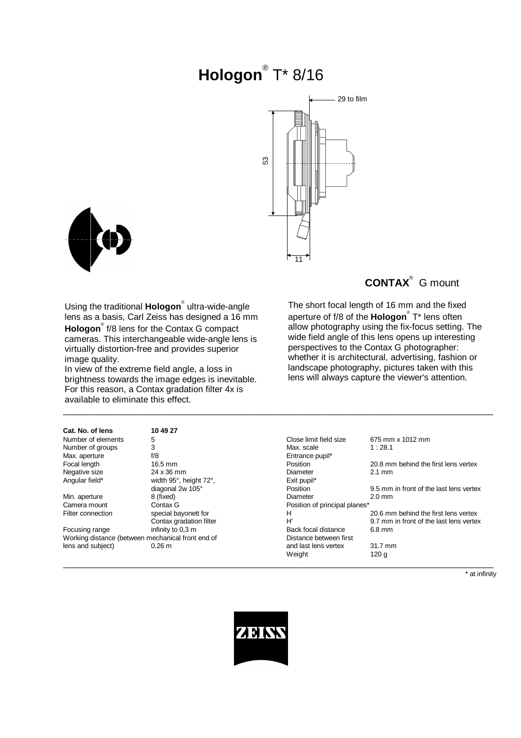# **Hologon**® T\* 8/16





Using the traditional **Hologon**® ultra-wide-angle lens as a basis, Carl Zeiss has designed a 16 mm **Hologon**® f/8 lens for the Contax G compact cameras. This interchangeable wide-angle lens is virtually distortion-free and provides superior image quality.

In view of the extreme field angle, a loss in brightness towards the image edges is inevitable. For this reason, a Contax gradation filter 4x is available to eliminate this effect.

## **CONTAX**® G mount

The short focal length of 16 mm and the fixed aperture of f/8 of the **Hologon**® T\* lens often allow photography using the fix-focus setting. The wide field angle of this lens opens up interesting perspectives to the Contax G photographer: whether it is architectural, advertising, fashion or landscape photography, pictures taken with this lens will always capture the viewer's attention.

| Cat. No. of lens                                  | 10 49 27                |                               |                                         |
|---------------------------------------------------|-------------------------|-------------------------------|-----------------------------------------|
| Number of elements                                | 5                       | Close limit field size        | 675 mm x 1012 mm                        |
| Number of groups                                  | 3                       | Max. scale                    | 1:28.1                                  |
| Max. aperture                                     | f/8                     | Entrance pupil*               |                                         |
| Focal length                                      | 16.5 mm                 | Position                      | 20.8 mm behind the first lens vertex    |
| Negative size                                     | 24 x 36 mm              | Diameter                      | $2.1 \text{ mm}$                        |
| Angular field*                                    | width 95°, height 72°,  | Exit pupil*                   |                                         |
|                                                   | diagonal 2w 105°        | Position                      | 9.5 mm in front of the last lens vertex |
| Min. aperture                                     | 8 (fixed)               | Diameter                      | $2.0 \text{ mm}$                        |
| Camera mount                                      | Contax G                | Position of principal planes* |                                         |
| Filter connection                                 | special bayonett for    | н                             | 20.6 mm behind the first lens vertex    |
|                                                   | Contax gradation filter | H                             | 9.7 mm in front of the last lens vertex |
| Focusing range                                    | infinity to 0,3 m       | Back focal distance           | 6.8 mm                                  |
| Working distance (between mechanical front end of |                         | Distance between first        |                                         |
| lens and subject)                                 | $0.26 \text{ m}$        | and last lens vertex          | 31.7 mm                                 |
|                                                   |                         | Weight                        | 120 g                                   |
|                                                   |                         |                               |                                         |

\_\_\_\_\_\_\_\_\_\_\_\_\_\_\_\_\_\_\_\_\_\_\_\_\_\_\_\_\_\_\_\_\_\_\_\_\_\_\_\_\_\_\_\_\_\_\_\_\_\_\_\_\_\_\_\_\_\_\_\_\_\_\_\_\_\_\_\_\_\_\_\_\_\_\_\_\_\_\_\_\_\_\_\_\_\_\_\_\_

\* at infinity